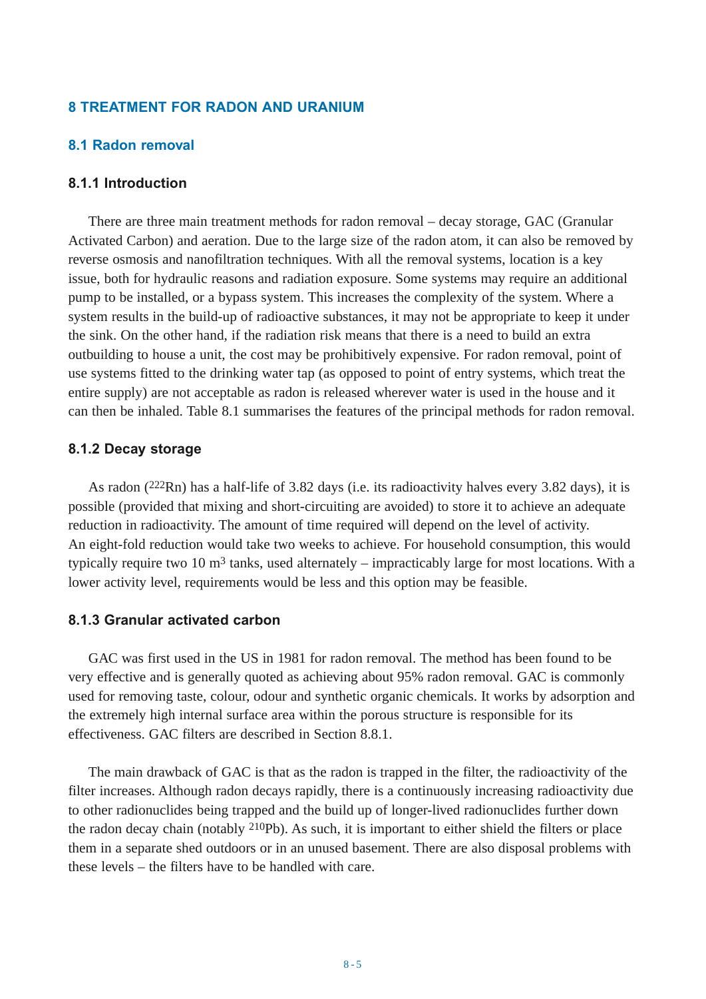# **8 TREATMENT FOR RADON AND URANIUM**

## **8.1 Radon removal**

#### **8.1.1 Introduction**

There are three main treatment methods for radon removal – decay storage, GAC (Granular Activated Carbon) and aeration. Due to the large size of the radon atom, it can also be removed by reverse osmosis and nanofiltration techniques. With all the removal systems, location is a key issue, both for hydraulic reasons and radiation exposure. Some systems may require an additional pump to be installed, or a bypass system. This increases the complexity of the system. Where a system results in the build-up of radioactive substances, it may not be appropriate to keep it under the sink. On the other hand, if the radiation risk means that there is a need to build an extra outbuilding to house a unit, the cost may be prohibitively expensive. For radon removal, point of use systems fitted to the drinking water tap (as opposed to point of entry systems, which treat the entire supply) are not acceptable as radon is released wherever water is used in the house and it can then be inhaled. Table 8.1 summarises the features of the principal methods for radon removal.

### **8.1.2 Decay storage**

As radon (222Rn) has a half-life of 3.82 days (i.e. its radioactivity halves every 3.82 days), it is possible (provided that mixing and short-circuiting are avoided) to store it to achieve an adequate reduction in radioactivity. The amount of time required will depend on the level of activity. An eight-fold reduction would take two weeks to achieve. For household consumption, this would typically require two 10  $m<sup>3</sup>$  tanks, used alternately – impracticably large for most locations. With a lower activity level, requirements would be less and this option may be feasible.

## **8.1.3 Granular activated carbon**

GAC was first used in the US in 1981 for radon removal. The method has been found to be very effective and is generally quoted as achieving about 95% radon removal. GAC is commonly used for removing taste, colour, odour and synthetic organic chemicals. It works by adsorption and the extremely high internal surface area within the porous structure is responsible for its effectiveness. GAC filters are described in Section 8.8.1.

The main drawback of GAC is that as the radon is trapped in the filter, the radioactivity of the filter increases. Although radon decays rapidly, there is a continuously increasing radioactivity due to other radionuclides being trapped and the build up of longer-lived radionuclides further down the radon decay chain (notably 210Pb). As such, it is important to either shield the filters or place them in a separate shed outdoors or in an unused basement. There are also disposal problems with these levels – the filters have to be handled with care.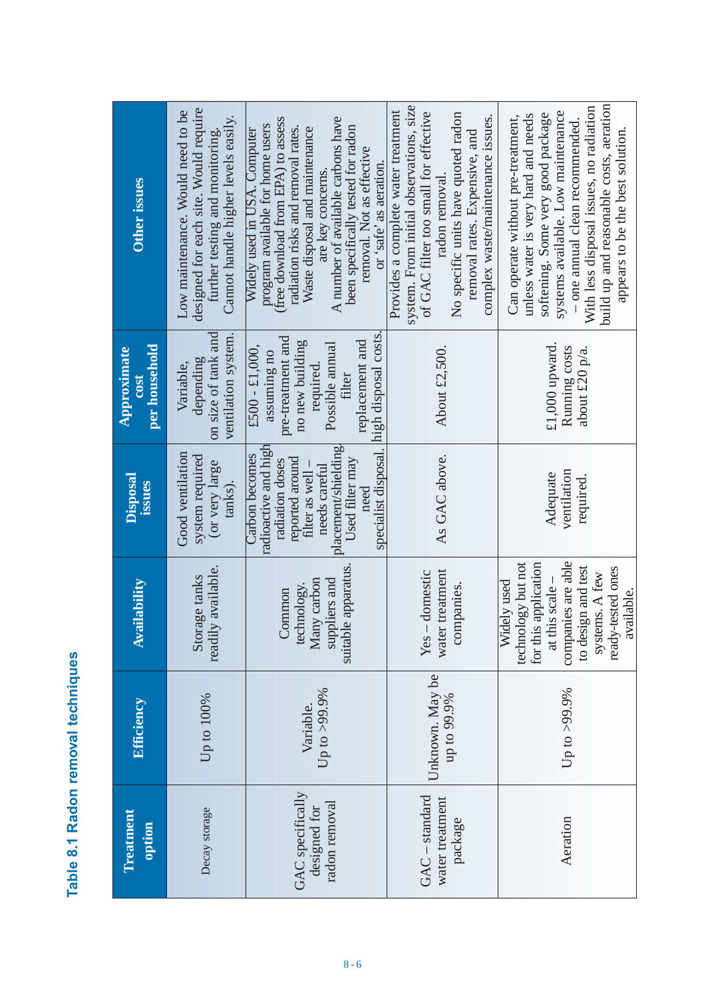| í                     |
|-----------------------|
| l<br>ť<br>i<br>г<br>I |
|                       |

| <b>Other issues</b>                  | designed for each site. Would require<br>Low maintenance. Would need to be<br>Cannot handle higher levels easily.<br>further testing and monitoring. | A number of available carbons have<br>(free download from EPA) to assess<br>program available for home users<br>been specifically tested for radon<br>radiation risks and removal rates.<br>Waste disposal and maintenance<br>Widely used in USA. Computer<br>removal. Not as effective<br>or 'safe' as aeration<br>are key concerns | system. From initial observations, size<br>Provides a complete water treatment<br>of GAC filter too small for effective<br>No specific units have quoted radon<br>complex waste/maintenance issues.<br>removal rates. Expensive, and<br>radon removal | build up and reasonable costs, aeration<br>With less disposal issues, no radiation<br>systems available. Low maintenance<br>softening. Some very good package<br>unless water is very hard and needs<br>Can operate without pre-treatment,<br>- one annual clean recommended.<br>appears to be the best solution. |
|--------------------------------------|------------------------------------------------------------------------------------------------------------------------------------------------------|--------------------------------------------------------------------------------------------------------------------------------------------------------------------------------------------------------------------------------------------------------------------------------------------------------------------------------------|-------------------------------------------------------------------------------------------------------------------------------------------------------------------------------------------------------------------------------------------------------|-------------------------------------------------------------------------------------------------------------------------------------------------------------------------------------------------------------------------------------------------------------------------------------------------------------------|
| per household<br>Approximate<br>cost | on size of tank and<br>ventilation system.<br>depending<br>Variable,                                                                                 | pre-treatment and<br>replacement and<br>no new building<br>Possible annual<br>$£500 - £1,000,$<br>assuming no<br>required.<br>filter                                                                                                                                                                                                 | About £2,500                                                                                                                                                                                                                                          | $£1,000$ upward.<br>Running costs<br>about $£20$ p/a.                                                                                                                                                                                                                                                             |
| <b>Disposal</b><br>issues            | Good ventilation<br>system required<br>(or very large<br>tanks).                                                                                     | specialist disposal. Inigh disposal costs<br>radioactive and high<br>placement/shielding.<br>Carbon becomes<br>reported around<br>Used filter may<br>radiation doses<br>needs careful<br>filter as well<br>need                                                                                                                      | As GAC above.                                                                                                                                                                                                                                         | ventilation<br>Adequate<br>required.                                                                                                                                                                                                                                                                              |
| <b>Availability</b>                  | readily available.<br>Storage tanks                                                                                                                  | suitable apparatus.<br>Many carbon<br>suppliers and<br>technology.<br>Common                                                                                                                                                                                                                                                         | water treatment<br>- domestic<br>companies.<br>Yes                                                                                                                                                                                                    | companies are able<br>technology but not<br>for this application<br>to design and test<br>ready-tested ones<br>systems. A few<br>Widely used<br>at this scale<br>available.                                                                                                                                       |
| <b>Efficiency</b>                    | Up to 100%                                                                                                                                           | Up to $>99.9\%$<br>Variable.                                                                                                                                                                                                                                                                                                         | Unknown. May be<br>up to 99.9%                                                                                                                                                                                                                        | Up to >99.9%                                                                                                                                                                                                                                                                                                      |
| Treatment<br>option                  | Decay storage                                                                                                                                        | GAC specifically<br>radon removal<br>designed for                                                                                                                                                                                                                                                                                    | $GAC - standard$<br>water treatment<br>package                                                                                                                                                                                                        | Aeration                                                                                                                                                                                                                                                                                                          |